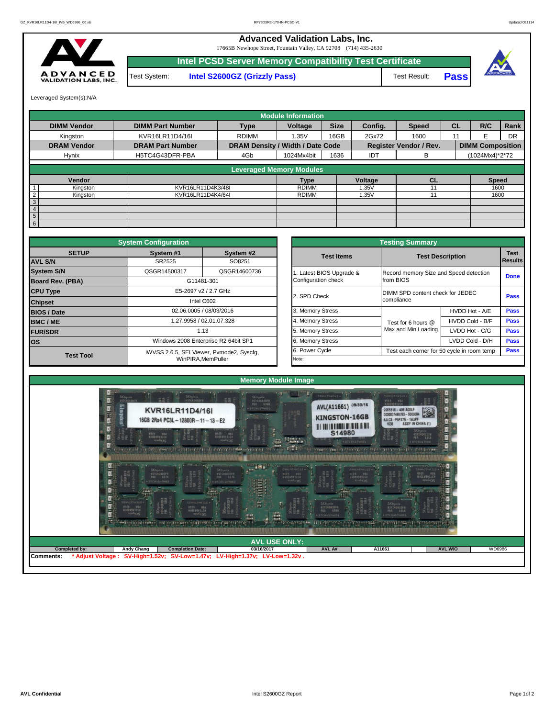## **Advanced Validation Labs, Inc.**

17665B Newhope Street, Fountain Valley, CA 92708 (714) 435-2630



**Intel PCSD Server Memory Compatibility Test Certificate** Test System: **Intel S2600GZ (Grizzly Pass)** Test Result: Pass



Leveraged System(s):N/A

|                            |                         |                                  | <b>Module Information</b> |             |         |                               |           |                         |      |
|----------------------------|-------------------------|----------------------------------|---------------------------|-------------|---------|-------------------------------|-----------|-------------------------|------|
| <b>DIMM Vendor</b>         | <b>DIMM Part Number</b> | <b>Type</b>                      | Voltage                   | <b>Size</b> | Config. | <b>Speed</b>                  | <b>CL</b> | R/C                     | Rank |
| Kingston                   | KVR16LR11D4/16I         | <b>RDIMM</b>                     | 1.35V                     | 16GB        | 2Gx72   | 1600                          | 11        | F                       | DR   |
| <b>DRAM Vendor</b>         | <b>DRAM Part Number</b> | DRAM Density / Width / Date Code |                           |             |         | <b>Register Vendor / Rev.</b> |           | <b>DIMM Composition</b> |      |
| Hynix                      | H5TC4G43DFR-PBA         | 4Gb                              | 1024Mx4bit                | 1636        | IDT     | в                             |           | (1024Mx4)*2*72          |      |
|                            |                         | <b>Leveraged Memory Modules</b>  |                           |             |         |                               |           |                         |      |
| Vendor                     |                         |                                  | <b>Type</b>               |             | Voltage | <b>CL</b>                     |           | <b>Speed</b>            |      |
| Kingston                   | KVR16LR11D4K3/48I       |                                  | <b>RDIMM</b>              |             | 1.35V   |                               |           | 1600                    |      |
| $\overline{2}$<br>Kingston | KVR16LR11D4K4/64I       |                                  | <b>RDIMM</b>              |             | 1.35V   | 11                            |           | 1600                    |      |
| 3                          |                         |                                  |                           |             |         |                               |           |                         |      |
| $\overline{4}$             |                         |                                  |                           |             |         |                               |           |                         |      |
| 5 <sup>5</sup>             |                         |                                  |                           |             |         |                               |           |                         |      |
| 6 <sup>1</sup>             |                         |                                  |                           |             |         |                               |           |                         |      |

|                                | <b>System Configuration</b> |                                          |                       | <b>Testing Summary</b>                 |                                            |                        |
|--------------------------------|-----------------------------|------------------------------------------|-----------------------|----------------------------------------|--------------------------------------------|------------------------|
| <b>SETUP</b><br><b>AVL S/N</b> | System #1<br>SR2525         | System #2<br>SO8251                      | <b>Test Items</b>     |                                        | <b>Test Description</b>                    | <b>Test</b><br>Results |
| <b>System S/N</b>              | QSGR14500317                | QSGR14600736                             | Latest BIOS Upgrade & | Record memory Size and Speed detection |                                            |                        |
| <b>Board Rev. (PBA)</b>        |                             | G11481-301                               | Configuration check   | from BIOS                              |                                            | <b>Done</b>            |
| <b>CPU Type</b>                |                             | E5-2697 v2 / 2.7 GHz                     | 2. SPD Check          | DIMM SPD content check for JEDEC       |                                            | Pass                   |
| <b>Chipset</b>                 |                             | Intel C602                               |                       | compliance                             |                                            |                        |
| <b>BIOS / Date</b>             |                             | 02.06.0005 / 08/03/2016                  | 3. Memory Stress      |                                        | HVDD Hot - A/E                             | <b>Pass</b>            |
| <b>BMC/ME</b>                  |                             | 1.27.9958 / 02.01.07.328                 | 4. Memory Stress      | Test for 6 hours @                     | HVDD Cold - B/F                            | <b>Pass</b>            |
| <b>FUR/SDR</b>                 |                             | 1.13                                     | 5. Memory Stress      | Max and Min Loading                    | LVDD Hot - C/G                             | <b>Pass</b>            |
| <b>los</b>                     |                             | Windows 2008 Enterprise R2 64bit SP1     | 6. Memory Stress      |                                        | LVDD Cold - D/H                            | Pass                   |
| <b>Test Tool</b>               |                             | iWVSS 2.6.5, SELViewer, Pvmode2, Syscfq, | 6. Power Cycle        |                                        | Test each corner for 50 cycle in room temp | <b>Pass</b>            |
|                                |                             | WinPIRA.MemPuller                        | Note:                 |                                        |                                            |                        |

|                                                 | <b>Testing Summary</b>                              |                 |                               |
|-------------------------------------------------|-----------------------------------------------------|-----------------|-------------------------------|
| <b>Test Items</b>                               | <b>Test Description</b>                             |                 | <b>Test</b><br><b>Results</b> |
| 1. Latest BIOS Upgrade &<br>Configuration check | Record memory Size and Speed detection<br>from BIOS |                 | <b>Done</b>                   |
| 2. SPD Check                                    | DIMM SPD content check for JEDEC<br>compliance      |                 | Pass                          |
| 3. Memory Stress                                |                                                     | HVDD Hot - A/E  | <b>Pass</b>                   |
| 4. Memory Stress                                | Test for 6 hours @                                  | HVDD Cold - B/F | <b>Pass</b>                   |
| 5. Memory Stress                                | Max and Min Loading                                 | LVDD Hot - C/G  | <b>Pass</b>                   |
| 6. Memory Stress                                |                                                     | LVDD Cold - D/H | <b>Pass</b>                   |
| 6. Power Cycle                                  | Test each corner for 50 cycle in room temp          |                 | <b>Pass</b>                   |
| Note:                                           |                                                     |                 |                               |

|                           |                                    |                                                                                                                                           | <b>Memory Module Image</b>                                                                                                                                                                                                                                                                                                                                                   |                                                                                                                                         |                                                                                                                                                     |                                                                                            |        |
|---------------------------|------------------------------------|-------------------------------------------------------------------------------------------------------------------------------------------|------------------------------------------------------------------------------------------------------------------------------------------------------------------------------------------------------------------------------------------------------------------------------------------------------------------------------------------------------------------------------|-----------------------------------------------------------------------------------------------------------------------------------------|-----------------------------------------------------------------------------------------------------------------------------------------------------|--------------------------------------------------------------------------------------------|--------|
|                           | SKhynis<br>USTCAGASING<br>Kingston | $100 - 1000$<br>SK hynix<br>HSTC46430FB<br><b>KVR16LR11D4/16I</b><br>16GB 2Rx4 PC3L-12800R-11-13-E2<br>SKHynis<br>RSTC4G43072R<br>PAR ARE | SKhynix<br>#STC46430FR<br>PBA 636A<br>+ DTCAWITWHD1<br>SKHynix<br>HOLAGASION<br>ABEL ABY                                                                                                                                                                                                                                                                                     | <b>TESTING AND ARRANGEMENT</b><br>AVL(A11661) J9/30/16<br><b>KINGSTON-16GB</b><br><u> All an lo ann an Dàna an Dàr</u><br><b>S14980</b> | TENNLENBOIE-<br><b>PSD PARTIES</b><br>9965516 - 496.A00LF<br>0000007498783 - \$000004<br><b>6JLC3-P9FS7N-1WJPF</b><br>1638 <b>ASSY IN CHINA</b> (1) | ī<br>K.<br>Ħ<br>SKHynix<br>HSTC4G43DFR<br>PBA 636A                                         |        |
| <b>The Party Property</b> | $\mathcal{F}_1$ + BTCAVAN/HAZ      | SK hynix<br>NSTC4G43DFN<br>PBA 637A                                                                                                       | <b>HARRY</b><br>a 1996 a 1997 - 1998 a 1998 a 1998 a 1999 a 1999 a 1999 a 1999 a 1999 a 1999 a 1999 a 1999 a 1999 a 1999 a 19<br>Talian a 1999 a 1999 a 1999 a 1999 a 1999 a 1999 a 1999 a 1999 a 1999 a 1999 a 1999 a 1999 a 1999 a 1999 a 19<br>EME.<br>MALLATHUDLE<br>SKhynix<br>HSTC4G43DFR<br>PBA 637A<br>SKHynik<br>NSTC4G430FN<br>PBA ARS<br><b>LAE - DTCANINYHAZ</b> | <b>E</b> . DTCAUSQUADS<br><b>PBA</b><br>HSTC4G43ICH<br>AREA                                                                             | $\frac{1}{2}$<br>- DICATHONES                                                                                                                       | · DTCAUSTUND<br><b>COLOR</b><br><b>PAR MARK RANGER</b><br>HSTC4G43DEN<br>GMARK RANGER<br>œ |        |
| 第1話                       | EdipicThujid +                     | EQHNCTHUDIC-<br>FBA STORES                                                                                                                | SK hynix<br>HSTC46430FI<br>PBA 636<br>票<br>Ë<br>骂<br><b>COLLEGE STATE</b>                                                                                                                                                                                                                                                                                                    | THE STATE<br>SKhynix<br>HSTC4G43DFR<br>PBA 636A<br>DTCAUS74HDS<br><b>III I also also</b>                                                | SK hynix<br>HSTC4G43DFR<br>PUA 616A<br>DTCANS74HDS                                                                                                  |                                                                                            |        |
|                           |                                    |                                                                                                                                           | <b>AVL USE ONLY:</b>                                                                                                                                                                                                                                                                                                                                                         |                                                                                                                                         |                                                                                                                                                     |                                                                                            |        |
| Completed by:             | <b>Andy Chang</b>                  |                                                                                                                                           |                                                                                                                                                                                                                                                                                                                                                                              |                                                                                                                                         | A11661                                                                                                                                              | AVL W/O                                                                                    | WD6986 |